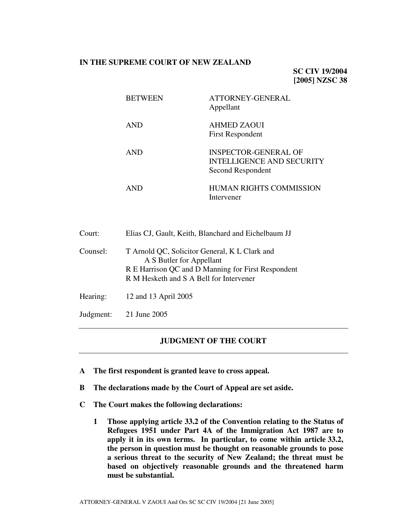# **IN THE SUPREME COURT OF NEW ZEALAND**

**SC CIV 19/2004 [2005] NZSC 38**

| <b>BETWEEN</b> | ATTORNEY-GENERAL<br>Appellant                                                 |
|----------------|-------------------------------------------------------------------------------|
| <b>AND</b>     | <b>AHMED ZAOUI</b><br><b>First Respondent</b>                                 |
| <b>AND</b>     | INSPECTOR-GENERAL OF<br><b>INTELLIGENCE AND SECURITY</b><br>Second Respondent |
| AND            | HUMAN RIGHTS COMMISSION<br>Intervener                                         |

| Court:    | Elias CJ, Gault, Keith, Blanchard and Eichelbaum JJ                                                                                                                        |
|-----------|----------------------------------------------------------------------------------------------------------------------------------------------------------------------------|
| Counsel:  | T Arnold QC, Solicitor General, K L Clark and<br>A S Butler for Appellant<br>R E Harrison QC and D Manning for First Respondent<br>R M Hesketh and S A Bell for Intervener |
| Hearing:  | 12 and 13 April 2005                                                                                                                                                       |
| Judgment: | 21 June 2005                                                                                                                                                               |

## **JUDGMENT OF THE COURT**

- **A The first respondent is granted leave to cross appeal.**
- **B The declarations made by the Court of Appeal are set aside.**
- **C The Court makes the following declarations:**
	- **1 Those applying article 33.2 of the Convention relating to the Status of Refugees 1951 under Part 4A of the Immigration Act 1987 are to apply it in its own terms. In particular, to come within article 33.2, the person in question must be thought on reasonable grounds to pose a serious threat to the security of New Zealand; the threat must be based on objectively reasonable grounds and the threatened harm must be substantial.**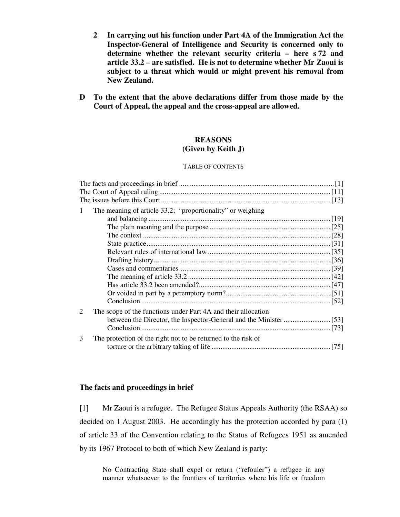- **2 In carrying out his function under Part 4A of the Immigration Act the Inspector-General of Intelligence and Security is concerned only to determine whether the relevant security criteria – here s 72 and article 33.2 – are satisfied. He is not to determine whether Mr Zaoui is subject to a threat which would or might prevent his removal from New Zealand.**
- **D To the extent that the above declarations differ from those made by the Court of Appeal, the appeal and the cross-appeal are allowed.**

## **REASONS (Given by Keith J)**

#### TABLE OF CONTENTS

|                             | The meaning of article 33.2; "proportionality" or weighing    |  |
|-----------------------------|---------------------------------------------------------------|--|
|                             |                                                               |  |
|                             |                                                               |  |
|                             |                                                               |  |
|                             |                                                               |  |
|                             |                                                               |  |
|                             |                                                               |  |
|                             |                                                               |  |
|                             |                                                               |  |
|                             |                                                               |  |
|                             |                                                               |  |
|                             |                                                               |  |
| $\mathcal{D}_{\mathcal{L}}$ | The scope of the functions under Part 4A and their allocation |  |
|                             |                                                               |  |
|                             |                                                               |  |
| 3                           | The protection of the right not to be returned to the risk of |  |
|                             |                                                               |  |
|                             |                                                               |  |

## **The facts and proceedings in brief**

[1] Mr Zaoui is a refugee. The Refugee Status Appeals Authority (the RSAA) so decided on 1 August 2003. He accordingly has the protection accorded by para (1) of article 33 of the Convention relating to the Status of Refugees 1951 as amended by its 1967 Protocol to both of which New Zealand is party:

No Contracting State shall expel or return ("refouler") a refugee in any manner whatsoever to the frontiers of territories where his life or freedom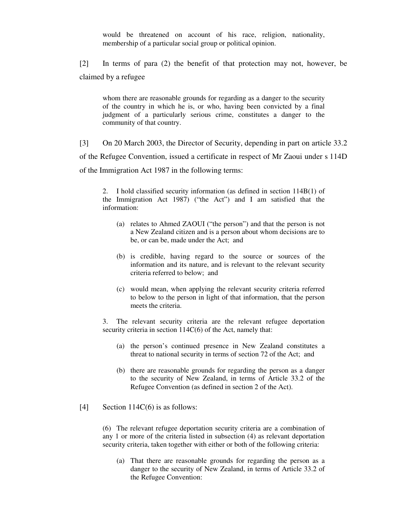would be threatened on account of his race, religion, nationality, membership of a particular social group or political opinion.

[2] In terms of para (2) the benefit of that protection may not, however, be claimed by a refugee

whom there are reasonable grounds for regarding as a danger to the security of the country in which he is, or who, having been convicted by a final judgment of a particularly serious crime, constitutes a danger to the community of that country.

[3] On 20 March 2003, the Director of Security, depending in part on article 33.2 of the Refugee Convention, issued a certificate in respect of Mr Zaoui under s 114D of the Immigration Act 1987 in the following terms:

2. I hold classified security information (as defined in section 114B(1) of the Immigration Act 1987) ("the Act") and I am satisfied that the information:

- (a) relates to Ahmed ZAOUI ("the person") and that the person is not a New Zealand citizen and is a person about whom decisions are to be, or can be, made under the Act; and
- (b) is credible, having regard to the source or sources of the information and its nature, and is relevant to the relevant security criteria referred to below; and
- (c) would mean, when applying the relevant security criteria referred to below to the person in light of that information, that the person meets the criteria.

3. The relevant security criteria are the relevant refugee deportation security criteria in section 114C(6) of the Act, namely that:

- (a) the person's continued presence in New Zealand constitutes a threat to national security in terms of section 72 of the Act; and
- (b) there are reasonable grounds for regarding the person as a danger to the security of New Zealand, in terms of Article 33.2 of the Refugee Convention (as defined in section 2 of the Act).
- [4] Section  $114C(6)$  is as follows:

(6) The relevant refugee deportation security criteria are a combination of any 1 or more of the criteria listed in subsection (4) as relevant deportation security criteria, taken together with either or both of the following criteria:

(a) That there are reasonable grounds for regarding the person as a danger to the security of New Zealand, in terms of Article 33.2 of the Refugee Convention: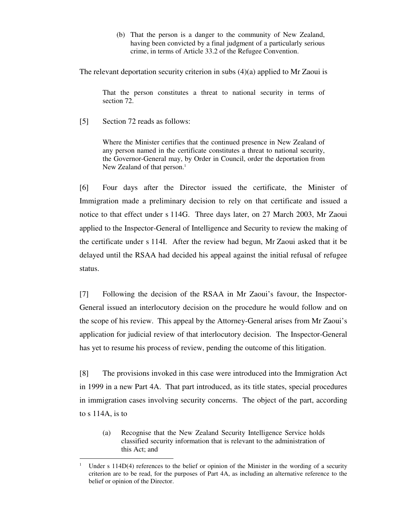(b) That the person is a danger to the community of New Zealand, having been convicted by a final judgment of a particularly serious crime, in terms of Article 33.2 of the Refugee Convention.

The relevant deportation security criterion in subs (4)(a) applied to Mr Zaoui is

That the person constitutes a threat to national security in terms of section 72.

[5] Section 72 reads as follows:

<u>.</u>

Where the Minister certifies that the continued presence in New Zealand of any person named in the certificate constitutes a threat to national security, the Governor-General may, by Order in Council, order the deportation from New Zealand of that person. 1

[6] Four days after the Director issued the certificate, the Minister of Immigration made a preliminary decision to rely on that certificate and issued a notice to that effect under s 114G. Three days later, on 27 March 2003, Mr Zaoui applied to the Inspector-General of Intelligence and Security to review the making of the certificate under s 114I. After the review had begun, Mr Zaoui asked that it be delayed until the RSAA had decided his appeal against the initial refusal of refugee status.

[7] Following the decision of the RSAA in Mr Zaoui's favour, the Inspector-General issued an interlocutory decision on the procedure he would follow and on the scope of his review. This appeal by the Attorney-General arises from Mr Zaoui's application for judicial review of that interlocutory decision. The Inspector-General has yet to resume his process of review, pending the outcome of this litigation.

[8] The provisions invoked in this case were introduced into the Immigration Act in 1999 in a new Part 4A. That part introduced, as its title states, special procedures in immigration cases involving security concerns. The object of the part, according to s 114A, is to

(a) Recognise that the New Zealand Security Intelligence Service holds classified security information that is relevant to the administration of this Act; and

Under s 114D(4) references to the belief or opinion of the Minister in the wording of a security criterion are to be read, for the purposes of Part 4A, as including an alternative reference to the belief or opinion of the Director.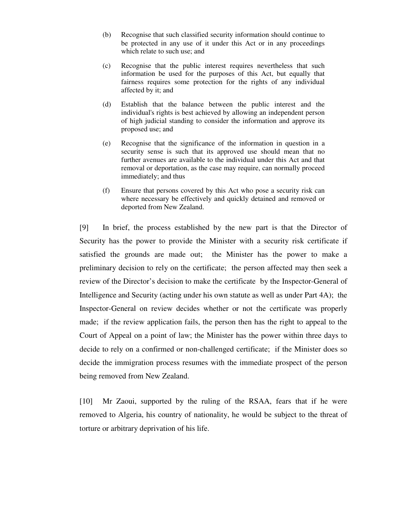- (b) Recognise that such classified security information should continue to be protected in any use of it under this Act or in any proceedings which relate to such use; and
- (c) Recognise that the public interest requires nevertheless that such information be used for the purposes of this Act, but equally that fairness requires some protection for the rights of any individual affected by it; and
- (d) Establish that the balance between the public interest and the individual's rights is best achieved by allowing an independent person of high judicial standing to consider the information and approve its proposed use; and
- (e) Recognise that the significance of the information in question in a security sense is such that its approved use should mean that no further avenues are available to the individual under this Act and that removal or deportation, as the case may require, can normally proceed immediately; and thus
- (f) Ensure that persons covered by this Act who pose a security risk can where necessary be effectively and quickly detained and removed or deported from New Zealand.

[9] In brief, the process established by the new part is that the Director of Security has the power to provide the Minister with a security risk certificate if satisfied the grounds are made out; the Minister has the power to make a preliminary decision to rely on the certificate; the person affected may then seek a review of the Director's decision to make the certificate by the Inspector-General of Intelligence and Security (acting under his own statute as well as under Part 4A); the Inspector-General on review decides whether or not the certificate was properly made; if the review application fails, the person then has the right to appeal to the Court of Appeal on a point of law; the Minister has the power within three days to decide to rely on a confirmed or non-challenged certificate; if the Minister does so decide the immigration process resumes with the immediate prospect of the person being removed from New Zealand.

[10] Mr Zaoui, supported by the ruling of the RSAA, fears that if he were removed to Algeria, his country of nationality, he would be subject to the threat of torture or arbitrary deprivation of his life.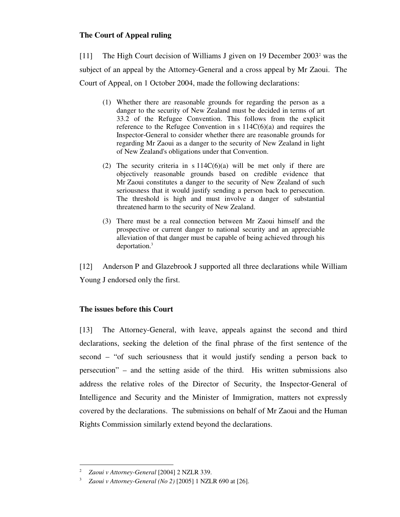# **The Court of Appeal ruling**

[11] The High Court decision of Williams J given on 19 December 2003 <sup>2</sup> was the subject of an appeal by the Attorney-General and a cross appeal by Mr Zaoui. The Court of Appeal, on 1 October 2004, made the following declarations:

- (1) Whether there are reasonable grounds for regarding the person as a danger to the security of New Zealand must be decided in terms of art 33.2 of the Refugee Convention. This follows from the explicit reference to the Refugee Convention in s  $114C(6)(a)$  and requires the Inspector-General to consider whether there are reasonable grounds for regarding Mr Zaoui as a danger to the security of New Zealand in light of New Zealand's obligations under that Convention.
- (2) The security criteria in  $s 114C(6)(a)$  will be met only if there are objectively reasonable grounds based on credible evidence that Mr Zaoui constitutes a danger to the security of New Zealand of such seriousness that it would justify sending a person back to persecution. The threshold is high and must involve a danger of substantial threatened harm to the security of New Zealand.
- (3) There must be a real connection between Mr Zaoui himself and the prospective or current danger to national security and an appreciable alleviation of that danger must be capable of being achieved through his deportation.<sup>3</sup>

[12] Anderson P and Glazebrook J supported all three declarations while William Young J endorsed only the first.

# **The issues before this Court**

[13] The Attorney-General, with leave, appeals against the second and third declarations, seeking the deletion of the final phrase of the first sentence of the second – "of such seriousness that it would justify sending a person back to persecution" – and the setting aside of the third. His written submissions also address the relative roles of the Director of Security, the Inspector-General of Intelligence and Security and the Minister of Immigration, matters not expressly covered by the declarations. The submissions on behalf of Mr Zaoui and the Human Rights Commission similarly extend beyond the declarations.

<sup>-</sup><sup>2</sup> *Zaoui v Attorney-General* [2004] 2 NZLR 339.

<sup>3</sup> *Zaoui v Attorney-General (No 2)* [2005] 1 NZLR 690 at [26].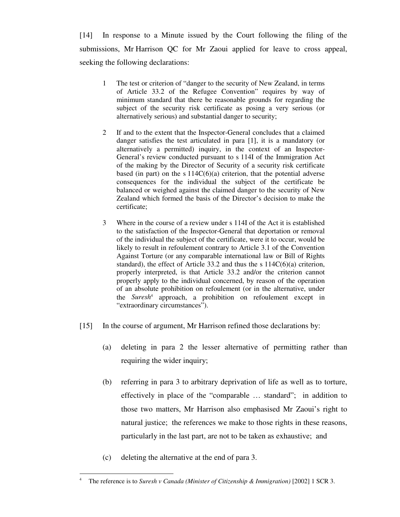[14] In response to a Minute issued by the Court following the filing of the submissions, Mr Harrison QC for Mr Zaoui applied for leave to cross appeal, seeking the following declarations:

- 1 The test or criterion of "danger to the security of New Zealand, in terms of Article 33.2 of the Refugee Convention" requires by way of minimum standard that there be reasonable grounds for regarding the subject of the security risk certificate as posing a very serious (or alternatively serious) and substantial danger to security;
- 2 If and to the extent that the Inspector-General concludes that a claimed danger satisfies the test articulated in para [1], it is a mandatory (or alternatively a permitted) inquiry, in the context of an Inspector-General's review conducted pursuant to s 114I of the Immigration Act of the making by the Director of Security of a security risk certificate based (in part) on the s  $114C(6)(a)$  criterion, that the potential adverse consequences for the individual the subject of the certificate be balanced or weighed against the claimed danger to the security of New Zealand which formed the basis of the Director's decision to make the certificate;
- 3 Where in the course of a review under s 114I of the Act it is established to the satisfaction of the Inspector-General that deportation or removal of the individual the subject of the certificate, were it to occur, would be likely to result in refoulement contrary to Article 3.1 of the Convention Against Torture (or any comparable international law or Bill of Rights standard), the effect of Article 33.2 and thus the s 114C(6)(a) criterion, properly interpreted, is that Article 33.2 and/or the criterion cannot properly apply to the individual concerned, by reason of the operation of an absolute prohibition on refoulement (or in the alternative, under the *Suresh* 4 approach, a prohibition on refoulement except in "extraordinary circumstances").
- [15] In the course of argument, Mr Harrison refined those declarations by:
	- (a) deleting in para 2 the lesser alternative of permitting rather than requiring the wider inquiry;
	- (b) referring in para 3 to arbitrary deprivation of life as well as to torture, effectively in place of the "comparable … standard"; in addition to those two matters, Mr Harrison also emphasised Mr Zaoui's right to natural justice; the references we make to those rights in these reasons, particularly in the last part, are not to be taken as exhaustive; and
	- (c) deleting the alternative at the end of para 3.

<sup>-</sup><sup>4</sup> The reference is to *Suresh v Canada (Minister of Citizenship & Immigration)* [2002] 1 SCR 3.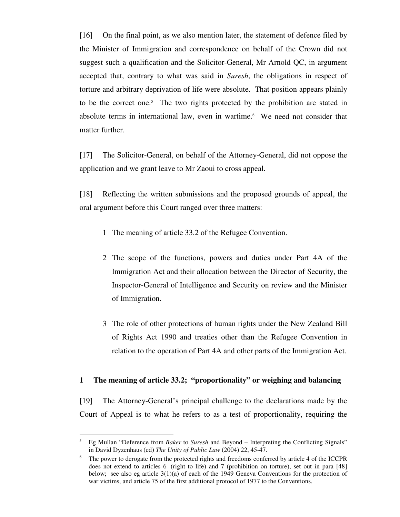[16] On the final point, as we also mention later, the statement of defence filed by the Minister of Immigration and correspondence on behalf of the Crown did not suggest such a qualification and the Solicitor-General, Mr Arnold QC, in argument accepted that, contrary to what was said in *Suresh*, the obligations in respect of torture and arbitrary deprivation of life were absolute. That position appears plainly to be the correct one. 5 The two rights protected by the prohibition are stated in absolute terms in international law, even in wartime. 6 We need not consider that matter further.

[17] The Solicitor-General, on behalf of the Attorney-General, did not oppose the application and we grant leave to Mr Zaoui to cross appeal.

[18] Reflecting the written submissions and the proposed grounds of appeal, the oral argument before this Court ranged over three matters:

- 1 The meaning of article 33.2 of the Refugee Convention.
- 2 The scope of the functions, powers and duties under Part 4A of the Immigration Act and their allocation between the Director of Security, the Inspector-General of Intelligence and Security on review and the Minister of Immigration.
- 3 The role of other protections of human rights under the New Zealand Bill of Rights Act 1990 and treaties other than the Refugee Convention in relation to the operation of Part 4A and other parts of the Immigration Act.

# **1 The meaning of article 33.2; "proportionality" or weighing and balancing**

[19] The Attorney-General's principal challenge to the declarations made by the Court of Appeal is to what he refers to as a test of proportionality, requiring the

<sup>5</sup> Eg Mullan "Deference from *Baker* to *Suresh* and Beyond – Interpreting the Conflicting Signals" in David Dyzenhaus (ed) *The Unity of Public Law* (2004) 22, 45-47.

<sup>6</sup> The power to derogate from the protected rights and freedoms conferred by article 4 of the ICCPR does not extend to articles 6 (right to life) and 7 (prohibition on torture), set out in para [48] below; see also eg article  $3(1)(a)$  of each of the 1949 Geneva Conventions for the protection of war victims, and article 75 of the first additional protocol of 1977 to the Conventions.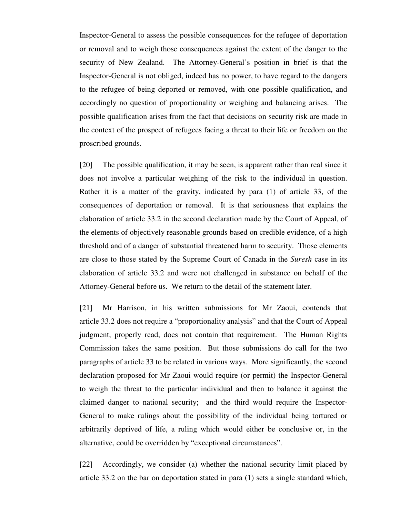Inspector-General to assess the possible consequences for the refugee of deportation or removal and to weigh those consequences against the extent of the danger to the security of New Zealand. The Attorney-General's position in brief is that the Inspector-General is not obliged, indeed has no power, to have regard to the dangers to the refugee of being deported or removed, with one possible qualification, and accordingly no question of proportionality or weighing and balancing arises. The possible qualification arises from the fact that decisions on security risk are made in the context of the prospect of refugees facing a threat to their life or freedom on the proscribed grounds.

[20] The possible qualification, it may be seen, is apparent rather than real since it does not involve a particular weighing of the risk to the individual in question. Rather it is a matter of the gravity, indicated by para (1) of article 33, of the consequences of deportation or removal. It is that seriousness that explains the elaboration of article 33.2 in the second declaration made by the Court of Appeal, of the elements of objectively reasonable grounds based on credible evidence, of a high threshold and of a danger of substantial threatened harm to security. Those elements are close to those stated by the Supreme Court of Canada in the *Suresh* case in its elaboration of article 33.2 and were not challenged in substance on behalf of the Attorney-General before us. We return to the detail of the statement later.

[21] Mr Harrison, in his written submissions for Mr Zaoui, contends that article 33.2 does not require a "proportionality analysis" and that the Court of Appeal judgment, properly read, does not contain that requirement. The Human Rights Commission takes the same position. But those submissions do call for the two paragraphs of article 33 to be related in various ways. More significantly, the second declaration proposed for Mr Zaoui would require (or permit) the Inspector-General to weigh the threat to the particular individual and then to balance it against the claimed danger to national security; and the third would require the Inspector-General to make rulings about the possibility of the individual being tortured or arbitrarily deprived of life, a ruling which would either be conclusive or, in the alternative, could be overridden by "exceptional circumstances".

[22] Accordingly, we consider (a) whether the national security limit placed by article 33.2 on the bar on deportation stated in para (1) sets a single standard which,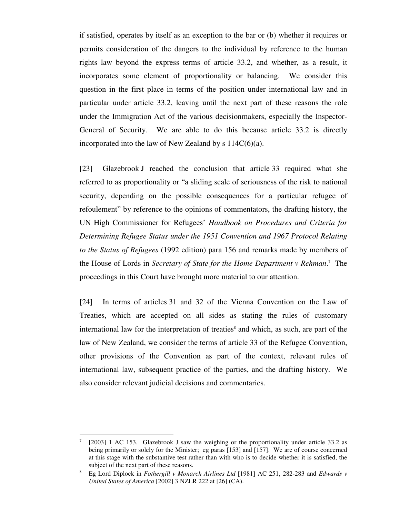if satisfied, operates by itself as an exception to the bar or (b) whether it requires or permits consideration of the dangers to the individual by reference to the human rights law beyond the express terms of article 33.2, and whether, as a result, it incorporates some element of proportionality or balancing. We consider this question in the first place in terms of the position under international law and in particular under article 33.2, leaving until the next part of these reasons the role under the Immigration Act of the various decisionmakers, especially the Inspector-General of Security. We are able to do this because article 33.2 is directly incorporated into the law of New Zealand by  $s 114C(6)(a)$ .

[23] Glazebrook J reached the conclusion that article 33 required what she referred to as proportionality or "a sliding scale of seriousness of the risk to national security, depending on the possible consequences for a particular refugee of refoulement" by reference to the opinions of commentators, the drafting history, the UN High Commissioner for Refugees' *Handbook on Procedures and Criteria for Determining Refugee Status under the 1951 Convention and 1967 Protocol Relating to the Status of Refugees* (1992 edition) para 156 and remarks made by members of the House of Lords in *Secretary of State for the Home Department v Rehman*. 7 The proceedings in this Court have brought more material to our attention.

[24] In terms of articles 31 and 32 of the Vienna Convention on the Law of Treaties, which are accepted on all sides as stating the rules of customary international law for the interpretation of treaties <sup>8</sup> and which, as such, are part of the law of New Zealand, we consider the terms of article 33 of the Refugee Convention, other provisions of the Convention as part of the context, relevant rules of international law, subsequent practice of the parties, and the drafting history. We also consider relevant judicial decisions and commentaries.

<sup>7</sup> [2003] 1 AC 153. Glazebrook J saw the weighing or the proportionality under article 33.2 as being primarily or solely for the Minister; eg paras [153] and [157]. We are of course concerned at this stage with the substantive test rather than with who is to decide whether it is satisfied, the subject of the next part of these reasons.

<sup>8</sup> Eg Lord Diplock in *Fothergill v Monarch Airlines Ltd* [1981] AC 251, 282-283 and *Edwards v United States of America* [2002] 3 NZLR 222 at [26] (CA).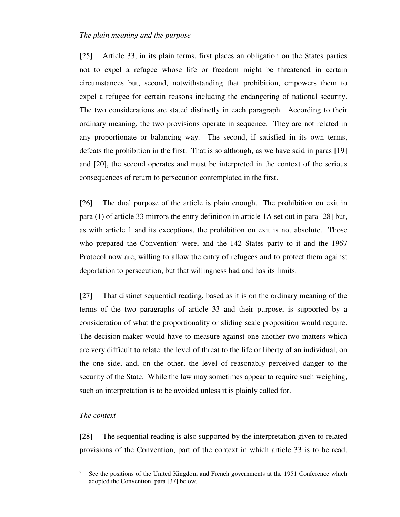### *The plain meaning and the purpose*

[25] Article 33, in its plain terms, first places an obligation on the States parties not to expel a refugee whose life or freedom might be threatened in certain circumstances but, second, notwithstanding that prohibition, empowers them to expel a refugee for certain reasons including the endangering of national security. The two considerations are stated distinctly in each paragraph. According to their ordinary meaning, the two provisions operate in sequence. They are not related in any proportionate or balancing way. The second, if satisfied in its own terms, defeats the prohibition in the first. That is so although, as we have said in paras [19] and [20], the second operates and must be interpreted in the context of the serious consequences of return to persecution contemplated in the first.

[26] The dual purpose of the article is plain enough. The prohibition on exit in para (1) of article 33 mirrors the entry definition in article 1A set out in para [28] but, as with article 1 and its exceptions, the prohibition on exit is not absolute. Those who prepared the Convention<sup>9</sup> were, and the 142 States party to it and the 1967 Protocol now are, willing to allow the entry of refugees and to protect them against deportation to persecution, but that willingness had and has its limits.

[27] That distinct sequential reading, based as it is on the ordinary meaning of the terms of the two paragraphs of article 33 and their purpose, is supported by a consideration of what the proportionality or sliding scale proposition would require. The decision-maker would have to measure against one another two matters which are very difficult to relate: the level of threat to the life or liberty of an individual, on the one side, and, on the other, the level of reasonably perceived danger to the security of the State. While the law may sometimes appear to require such weighing, such an interpretation is to be avoided unless it is plainly called for.

#### *The context*

-

[28] The sequential reading is also supported by the interpretation given to related provisions of the Convention, part of the context in which article 33 is to be read.

<sup>9</sup> See the positions of the United Kingdom and French governments at the 1951 Conference which adopted the Convention, para [37] below.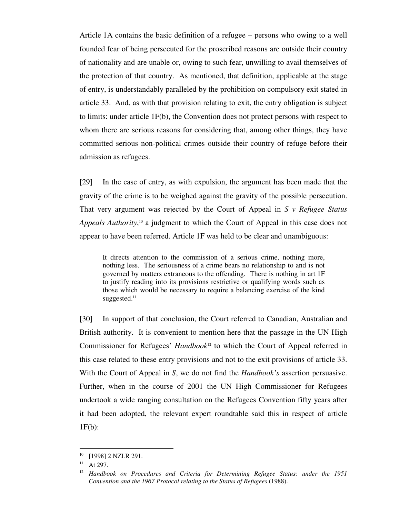Article 1A contains the basic definition of a refugee – persons who owing to a well founded fear of being persecuted for the proscribed reasons are outside their country of nationality and are unable or, owing to such fear, unwilling to avail themselves of the protection of that country. As mentioned, that definition, applicable at the stage of entry, is understandably paralleled by the prohibition on compulsory exit stated in article 33. And, as with that provision relating to exit, the entry obligation is subject to limits: under article 1F(b), the Convention does not protect persons with respect to whom there are serious reasons for considering that, among other things, they have committed serious non-political crimes outside their country of refuge before their admission as refugees.

[29] In the case of entry, as with expulsion, the argument has been made that the gravity of the crime is to be weighed against the gravity of the possible persecution. That very argument was rejected by the Court of Appeal in *S v Refugee Status Appeals Authority*, <sup>10</sup> a judgment to which the Court of Appeal in this case does not appear to have been referred. Article 1F was held to be clear and unambiguous:

It directs attention to the commission of a serious crime, nothing more, nothing less. The seriousness of a crime bears no relationship to and is not governed by matters extraneous to the offending. There is nothing in art 1F to justify reading into its provisions restrictive or qualifying words such as those which would be necessary to require a balancing exercise of the kind suggested.<sup>11</sup>

[30] In support of that conclusion, the Court referred to Canadian, Australian and British authority. It is convenient to mention here that the passage in the UN High Commissioner for Refugees' *Handbook* <sup>12</sup> to which the Court of Appeal referred in this case related to these entry provisions and not to the exit provisions of article 33. With the Court of Appeal in *S*, we do not find the *Handbook's* assertion persuasive. Further, when in the course of 2001 the UN High Commissioner for Refugees undertook a wide ranging consultation on the Refugees Convention fifty years after it had been adopted, the relevant expert roundtable said this in respect of article  $1F(b)$ :

<sup>&</sup>lt;sup>10</sup> [1998] 2 NZLR 291.

 $11$  At 297.

<sup>12</sup> *Handbook on Procedures and Criteria for Determining Refugee Status: under the 1951 Convention and the 1967 Protocol relating to the Status of Refugees* (1988).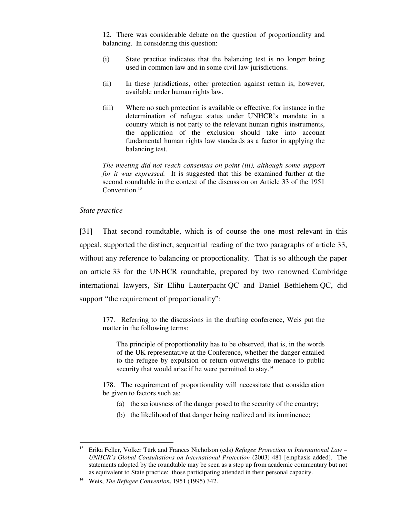12. There was considerable debate on the question of proportionality and balancing. In considering this question:

- (i) State practice indicates that the balancing test is no longer being used in common law and in some civil law jurisdictions.
- (ii) In these jurisdictions, other protection against return is, however, available under human rights law.
- (iii) Where no such protection is available or effective, for instance in the determination of refugee status under UNHCR's mandate in a country which is not party to the relevant human rights instruments, the application of the exclusion should take into account fundamental human rights law standards as a factor in applying the balancing test.

*The meeting did not reach consensus on point (iii), although some support for it was expressed.* It is suggested that this be examined further at the second roundtable in the context of the discussion on Article 33 of the 1951 Convention. 13

## *State practice*

<u>.</u>

[31] That second roundtable, which is of course the one most relevant in this appeal, supported the distinct, sequential reading of the two paragraphs of article 33, without any reference to balancing or proportionality. That is so although the paper on article 33 for the UNHCR roundtable, prepared by two renowned Cambridge international lawyers, Sir Elihu Lauterpacht QC and Daniel Bethlehem QC, did support "the requirement of proportionality":

177. Referring to the discussions in the drafting conference, Weis put the matter in the following terms:

The principle of proportionality has to be observed, that is, in the words of the UK representative at the Conference, whether the danger entailed to the refugee by expulsion or return outweighs the menace to public security that would arise if he were permitted to stay.<sup>14</sup>

178. The requirement of proportionality will necessitate that consideration be given to factors such as:

- (a) the seriousness of the danger posed to the security of the country;
- (b) the likelihood of that danger being realized and its imminence;

<sup>13</sup> Erika Feller, Volker Türk and Frances Nicholson (eds) *Refugee Protection in International Law – UNHCR's Global Consultations on International Protection* (2003) 481 [emphasis added]. The statements adopted by the roundtable may be seen as a step up from academic commentary but not as equivalent to State practice: those participating attended in their personal capacity.

<sup>14</sup> Weis, *The Refugee Convention*, 1951 (1995) 342.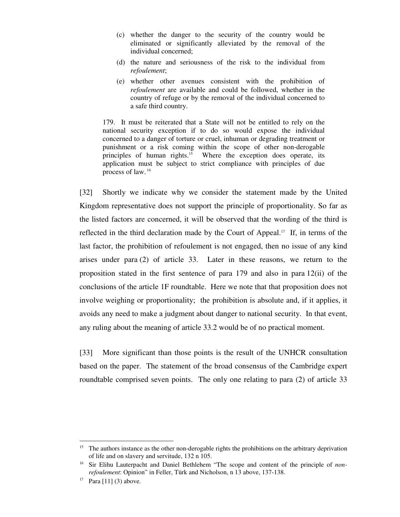- (c) whether the danger to the security of the country would be eliminated or significantly alleviated by the removal of the individual concerned;
- (d) the nature and seriousness of the risk to the individual from *refoulement*;
- (e) whether other avenues consistent with the prohibition of *refoulement* are available and could be followed, whether in the country of refuge or by the removal of the individual concerned to a safe third country.

179. It must be reiterated that a State will not be entitled to rely on the national security exception if to do so would expose the individual concerned to a danger of torture or cruel, inhuman or degrading treatment or punishment or a risk coming within the scope of other non-derogable principles of human rights. Where the exception does operate, its application must be subject to strict compliance with principles of due process of law. 16

[32] Shortly we indicate why we consider the statement made by the United Kingdom representative does not support the principle of proportionality. So far as the listed factors are concerned, it will be observed that the wording of the third is reflected in the third declaration made by the Court of Appeal. <sup>17</sup> If, in terms of the last factor, the prohibition of refoulement is not engaged, then no issue of any kind arises under para (2) of article 33. Later in these reasons, we return to the proposition stated in the first sentence of para 179 and also in para 12(ii) of the conclusions of the article 1F roundtable. Here we note that that proposition does not involve weighing or proportionality; the prohibition is absolute and, if it applies, it avoids any need to make a judgment about danger to national security. In that event, any ruling about the meaning of article 33.2 would be of no practical moment.

[33] More significant than those points is the result of the UNHCR consultation based on the paper. The statement of the broad consensus of the Cambridge expert roundtable comprised seven points. The only one relating to para (2) of article 33

<u>.</u>

<sup>&</sup>lt;sup>15</sup> The authors instance as the other non-derogable rights the prohibitions on the arbitrary deprivation of life and on slavery and servitude, 132 n 105.

<sup>16</sup> Sir Elihu Lauterpacht and Daniel Bethlehem "The scope and content of the principle of *nonrefoulement*: Opinion" in Feller, Türk and Nicholson, n 13 above, 137-138.

<sup>&</sup>lt;sup>17</sup> Para [11] (3) above.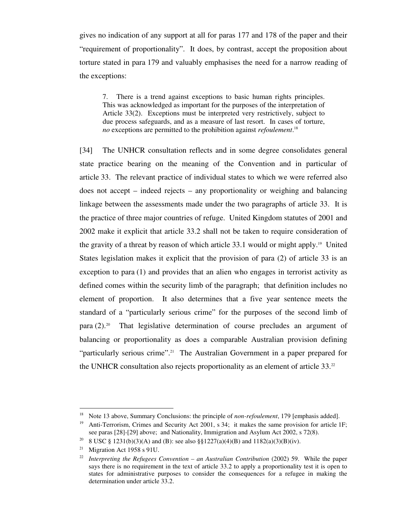gives no indication of any support at all for paras 177 and 178 of the paper and their "requirement of proportionality". It does, by contrast, accept the proposition about torture stated in para 179 and valuably emphasises the need for a narrow reading of the exceptions:

7. There is a trend against exceptions to basic human rights principles. This was acknowledged as important for the purposes of the interpretation of Article 33(2). Exceptions must be interpreted very restrictively, subject to due process safeguards, and as a measure of last resort. In cases of torture, *no* exceptions are permitted to the prohibition against *refoulement*. 18

[34] The UNHCR consultation reflects and in some degree consolidates general state practice bearing on the meaning of the Convention and in particular of article 33. The relevant practice of individual states to which we were referred also does not accept – indeed rejects – any proportionality or weighing and balancing linkage between the assessments made under the two paragraphs of article 33. It is the practice of three major countries of refuge. United Kingdom statutes of 2001 and 2002 make it explicit that article 33.2 shall not be taken to require consideration of the gravity of a threat by reason of which article 33.1 would or might apply.<sup>19</sup> United States legislation makes it explicit that the provision of para (2) of article 33 is an exception to para (1) and provides that an alien who engages in terrorist activity as defined comes within the security limb of the paragraph; that definition includes no element of proportion. It also determines that a five year sentence meets the standard of a "particularly serious crime" for the purposes of the second limb of para (2). 20 That legislative determination of course precludes an argument of balancing or proportionality as does a comparable Australian provision defining "particularly serious crime".<sup>21</sup> The Australian Government in a paper prepared for the UNHCR consultation also rejects proportionality as an element of article 33.<sup>22</sup>

<sup>18</sup> Note 13 above, Summary Conclusions: the principle of *non-refoulement*, 179 [emphasis added].

<sup>19</sup> Anti-Terrorism, Crimes and Security Act 2001, s 34; it makes the same provision for article 1F; see paras [28]-[29] above; and Nationality, Immigration and Asylum Act 2002, s 72(8).

<sup>&</sup>lt;sup>20</sup> 8 USC § 1231(b)(3)(A) and (B): see also §§1227(a)(4)(B) and 1182(a)(3)(B)(iv).

<sup>&</sup>lt;sup>21</sup> Migration Act 1958 s 91U.

<sup>22</sup> *Interpreting the Refugees Convention – an Australian Contribution* (2002) 59. While the paper says there is no requirement in the text of article 33.2 to apply a proportionality test it is open to states for administrative purposes to consider the consequences for a refugee in making the determination under article 33.2.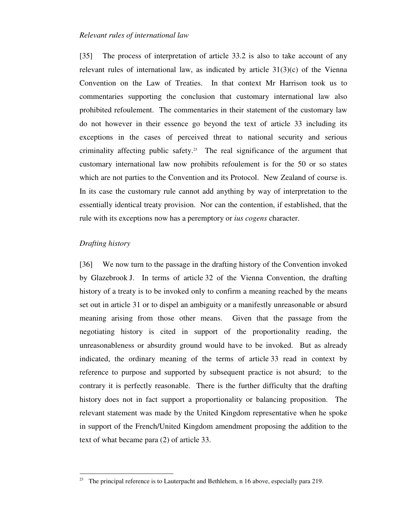#### *Relevant rules of international law*

[35] The process of interpretation of article 33.2 is also to take account of any relevant rules of international law, as indicated by article 31(3)(c) of the Vienna Convention on the Law of Treaties. In that context Mr Harrison took us to commentaries supporting the conclusion that customary international law also prohibited refoulement. The commentaries in their statement of the customary law do not however in their essence go beyond the text of article 33 including its exceptions in the cases of perceived threat to national security and serious criminality affecting public safety. 23 The real significance of the argument that customary international law now prohibits refoulement is for the 50 or so states which are not parties to the Convention and its Protocol. New Zealand of course is. In its case the customary rule cannot add anything by way of interpretation to the essentially identical treaty provision. Nor can the contention, if established, that the rule with its exceptions now has a peremptory or *ius cogens* character.

## *Drafting history*

-

[36] We now turn to the passage in the drafting history of the Convention invoked by Glazebrook J. In terms of article 32 of the Vienna Convention, the drafting history of a treaty is to be invoked only to confirm a meaning reached by the means set out in article 31 or to dispel an ambiguity or a manifestly unreasonable or absurd meaning arising from those other means. Given that the passage from the negotiating history is cited in support of the proportionality reading, the unreasonableness or absurdity ground would have to be invoked. But as already indicated, the ordinary meaning of the terms of article 33 read in context by reference to purpose and supported by subsequent practice is not absurd; to the contrary it is perfectly reasonable. There is the further difficulty that the drafting history does not in fact support a proportionality or balancing proposition. The relevant statement was made by the United Kingdom representative when he spoke in support of the French/United Kingdom amendment proposing the addition to the text of what became para (2) of article 33.

The principal reference is to Lauterpacht and Bethlehem, n 16 above, especially para 219.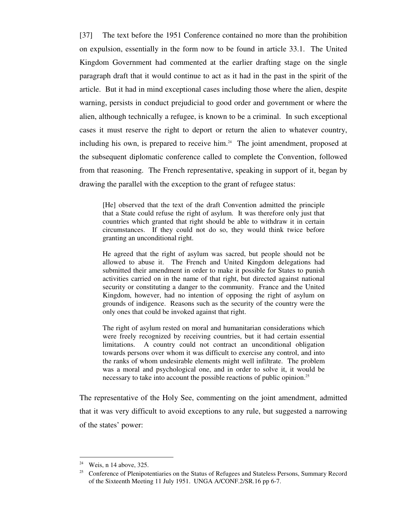[37] The text before the 1951 Conference contained no more than the prohibition on expulsion, essentially in the form now to be found in article 33.1. The United Kingdom Government had commented at the earlier drafting stage on the single paragraph draft that it would continue to act as it had in the past in the spirit of the article. But it had in mind exceptional cases including those where the alien, despite warning, persists in conduct prejudicial to good order and government or where the alien, although technically a refugee, is known to be a criminal. In such exceptional cases it must reserve the right to deport or return the alien to whatever country, including his own, is prepared to receive him. 24 The joint amendment, proposed at the subsequent diplomatic conference called to complete the Convention, followed from that reasoning. The French representative, speaking in support of it, began by drawing the parallel with the exception to the grant of refugee status:

[He] observed that the text of the draft Convention admitted the principle that a State could refuse the right of asylum. It was therefore only just that countries which granted that right should be able to withdraw it in certain circumstances. If they could not do so, they would think twice before granting an unconditional right.

He agreed that the right of asylum was sacred, but people should not be allowed to abuse it. The French and United Kingdom delegations had submitted their amendment in order to make it possible for States to punish activities carried on in the name of that right, but directed against national security or constituting a danger to the community. France and the United Kingdom, however, had no intention of opposing the right of asylum on grounds of indigence. Reasons such as the security of the country were the only ones that could be invoked against that right.

The right of asylum rested on moral and humanitarian considerations which were freely recognized by receiving countries, but it had certain essential limitations. A country could not contract an unconditional obligation towards persons over whom it was difficult to exercise any control, and into the ranks of whom undesirable elements might well infiltrate. The problem was a moral and psychological one, and in order to solve it, it would be necessary to take into account the possible reactions of public opinion.<sup>25</sup>

The representative of the Holy See, commenting on the joint amendment, admitted that it was very difficult to avoid exceptions to any rule, but suggested a narrowing of the states' power:

<sup>&</sup>lt;sup>24</sup> Weis, n 14 above, 325.

<sup>&</sup>lt;sup>25</sup> Conference of Plenipotentiaries on the Status of Refugees and Stateless Persons, Summary Record of the Sixteenth Meeting 11 July 1951. UNGA A/CONF.2/SR.16 pp 6-7.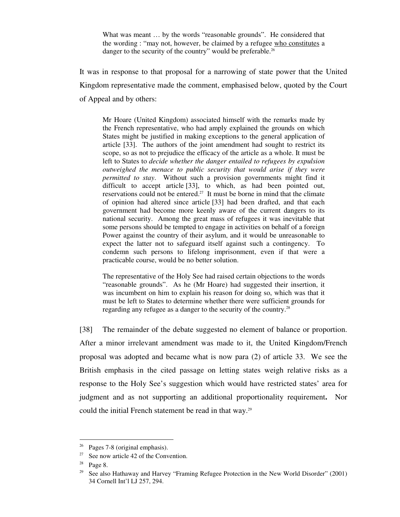What was meant ... by the words "reasonable grounds". He considered that the wording : "may not, however, be claimed by a refugee who constitutes a danger to the security of the country" would be preferable.<sup>26</sup>

It was in response to that proposal for a narrowing of state power that the United Kingdom representative made the comment, emphasised below, quoted by the Court of Appeal and by others:

Mr Hoare (United Kingdom) associated himself with the remarks made by the French representative, who had amply explained the grounds on which States might be justified in making exceptions to the general application of article [33]. The authors of the joint amendment had sought to restrict its scope, so as not to prejudice the efficacy of the article as a whole. It must be left to States to *decide whether the danger entailed to refugees by expulsion outweighed the menace to public security that would arise if they were permitted to stay*. Without such a provision governments might find it difficult to accept article [33], to which, as had been pointed out, reservations could not be entered.<sup>27</sup> It must be borne in mind that the climate of opinion had altered since article [33] had been drafted, and that each government had become more keenly aware of the current dangers to its national security. Among the great mass of refugees it was inevitable that some persons should be tempted to engage in activities on behalf of a foreign Power against the country of their asylum, and it would be unreasonable to expect the latter not to safeguard itself against such a contingency. To condemn such persons to lifelong imprisonment, even if that were a practicable course, would be no better solution.

The representative of the Holy See had raised certain objections to the words "reasonable grounds". As he (Mr Hoare) had suggested their insertion, it was incumbent on him to explain his reason for doing so, which was that it must be left to States to determine whether there were sufficient grounds for regarding any refugee as a danger to the security of the country.<sup>28</sup>

[38] The remainder of the debate suggested no element of balance or proportion. After a minor irrelevant amendment was made to it, the United Kingdom/French proposal was adopted and became what is now para (2) of article 33. We see the British emphasis in the cited passage on letting states weigh relative risks as a response to the Holy See's suggestion which would have restricted states' area for judgment and as not supporting an additional proportionality requirement**.** Nor could the initial French statement be read in that way.<sup>29</sup>

 $26$  Pages 7-8 (original emphasis).

 $27$  See now article 42 of the Convention.

 $28$  Page 8.

<sup>&</sup>lt;sup>29</sup> See also Hathaway and Harvey "Framing Refugee Protection in the New World Disorder" (2001) 34 Cornell Int'l LJ 257, 294.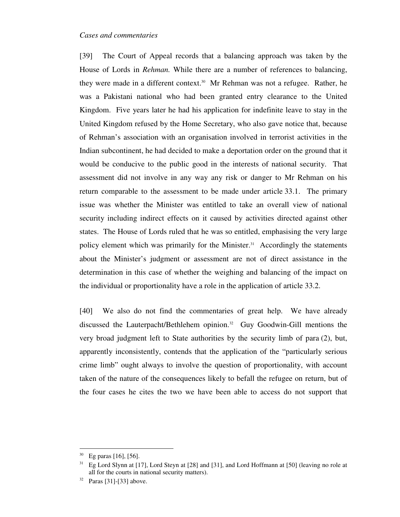#### *Cases and commentaries*

[39] The Court of Appeal records that a balancing approach was taken by the House of Lords in *Rehman.* While there are a number of references to balancing, they were made in a different context. <sup>30</sup> Mr Rehman was not a refugee. Rather, he was a Pakistani national who had been granted entry clearance to the United Kingdom. Five years later he had his application for indefinite leave to stay in the United Kingdom refused by the Home Secretary, who also gave notice that, because of Rehman's association with an organisation involved in terrorist activities in the Indian subcontinent, he had decided to make a deportation order on the ground that it would be conducive to the public good in the interests of national security. That assessment did not involve in any way any risk or danger to Mr Rehman on his return comparable to the assessment to be made under article 33.1. The primary issue was whether the Minister was entitled to take an overall view of national security including indirect effects on it caused by activities directed against other states. The House of Lords ruled that he was so entitled, emphasising the very large policy element which was primarily for the Minister. 31 Accordingly the statements about the Minister's judgment or assessment are not of direct assistance in the determination in this case of whether the weighing and balancing of the impact on the individual or proportionality have a role in the application of article 33.2.

[40] We also do not find the commentaries of great help. We have already discussed the Lauterpacht/Bethlehem opinion. 32 Guy Goodwin-Gill mentions the very broad judgment left to State authorities by the security limb of para (2), but, apparently inconsistently, contends that the application of the "particularly serious crime limb" ought always to involve the question of proportionality, with account taken of the nature of the consequences likely to befall the refugee on return, but of the four cases he cites the two we have been able to access do not support that

 $30$  Eg paras [16], [56].

 $31$  Eg Lord Slynn at [17], Lord Steyn at [28] and [31], and Lord Hoffmann at [50] (leaving no role at all for the courts in national security matters).

 $32$  Paras [31]-[33] above.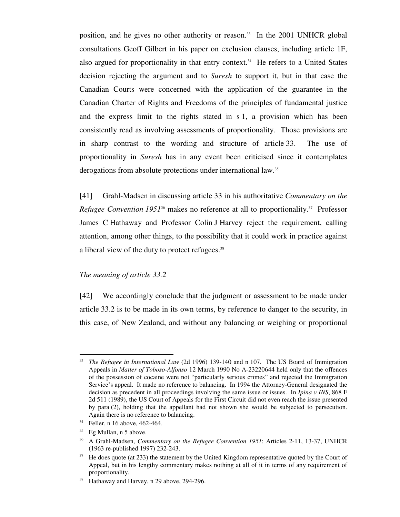position, and he gives no other authority or reason. <sup>33</sup> In the 2001 UNHCR global consultations Geoff Gilbert in his paper on exclusion clauses, including article 1F, also argued for proportionality in that entry context. 34 He refers to a United States decision rejecting the argument and to *Suresh* to support it, but in that case the Canadian Courts were concerned with the application of the guarantee in the Canadian Charter of Rights and Freedoms of the principles of fundamental justice and the express limit to the rights stated in s 1, a provision which has been consistently read as involving assessments of proportionality. Those provisions are in sharp contrast to the wording and structure of article 33. The use of proportionality in *Suresh* has in any event been criticised since it contemplates derogations from absolute protections under international law.<sup>35</sup>

[41] Grahl-Madsen in discussing article 33 in his authoritative *Commentary on the* Refugee Convention 1951<sup>36</sup> makes no reference at all to proportionality.<sup>37</sup> Professor James C Hathaway and Professor Colin J Harvey reject the requirement, calling attention, among other things, to the possibility that it could work in practice against a liberal view of the duty to protect refugees.<sup>38</sup>

#### *The meaning of article 33.2*

[42] We accordingly conclude that the judgment or assessment to be made under article 33.2 is to be made in its own terms, by reference to danger to the security, in this case, of New Zealand, and without any balancing or weighing or proportional

<sup>33</sup> *The Refugee in International Law* (2d 1996) 139-140 and n 107. The US Board of Immigration Appeals in *Matter of Toboso-Alfonso* 12 March 1990 No A-23220644 held only that the offences of the possession of cocaine were not "particularly serious crimes" and rejected the Immigration Service's appeal. It made no reference to balancing. In 1994 the Attorney-General designated the decision as precedent in all proceedings involving the same issue or issues. In *Ipina v INS*, 868 F 2d 511 (1989), the US Court of Appeals for the First Circuit did not even reach the issue presented by para (2), holding that the appellant had not shown she would be subjected to persecution. Again there is no reference to balancing.

<sup>34</sup> Feller, n 16 above, 462-464.

 $35$  Eg Mullan, n 5 above.

<sup>36</sup> A Grahl-Madsen, *Commentary on the Refugee Convention 1951*: Articles 2-11, 13-37, UNHCR (1963 re-published 1997) 232-243.

 $37$  He does quote (at 233) the statement by the United Kingdom representative quoted by the Court of Appeal, but in his lengthy commentary makes nothing at all of it in terms of any requirement of proportionality.

<sup>&</sup>lt;sup>38</sup> Hathaway and Harvey, n 29 above, 294-296.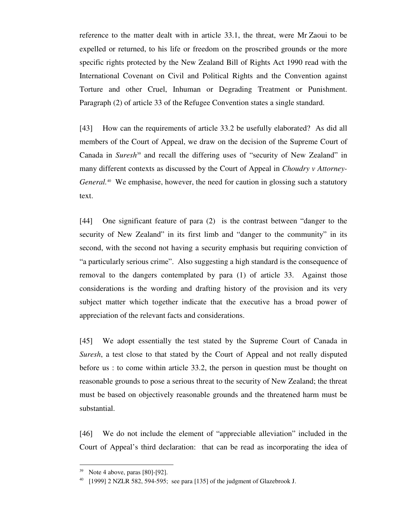reference to the matter dealt with in article 33.1, the threat, were Mr Zaoui to be expelled or returned, to his life or freedom on the proscribed grounds or the more specific rights protected by the New Zealand Bill of Rights Act 1990 read with the International Covenant on Civil and Political Rights and the Convention against Torture and other Cruel, Inhuman or Degrading Treatment or Punishment. Paragraph (2) of article 33 of the Refugee Convention states a single standard.

[43] How can the requirements of article 33.2 be usefully elaborated? As did all members of the Court of Appeal, we draw on the decision of the Supreme Court of Canada in *Suresh*<sup>39</sup> and recall the differing uses of "security of New Zealand" in many different contexts as discussed by the Court of Appeal in *Choudry v Attorney-*General.<sup>40</sup> We emphasise, however, the need for caution in glossing such a statutory text.

[44] One significant feature of para (2) is the contrast between "danger to the security of New Zealand" in its first limb and "danger to the community" in its second, with the second not having a security emphasis but requiring conviction of "a particularly serious crime". Also suggesting a high standard is the consequence of removal to the dangers contemplated by para (1) of article 33. Against those considerations is the wording and drafting history of the provision and its very subject matter which together indicate that the executive has a broad power of appreciation of the relevant facts and considerations.

[45] We adopt essentially the test stated by the Supreme Court of Canada in *Suresh*, a test close to that stated by the Court of Appeal and not really disputed before us : to come within article 33.2, the person in question must be thought on reasonable grounds to pose a serious threat to the security of New Zealand; the threat must be based on objectively reasonable grounds and the threatened harm must be substantial.

[46] We do not include the element of "appreciable alleviation" included in the Court of Appeal's third declaration: that can be read as incorporating the idea of

 $39$  Note 4 above, paras [80]-[92].

<sup>&</sup>lt;sup>40</sup> [1999] 2 NZLR 582, 594-595; see para [135] of the judgment of Glazebrook J.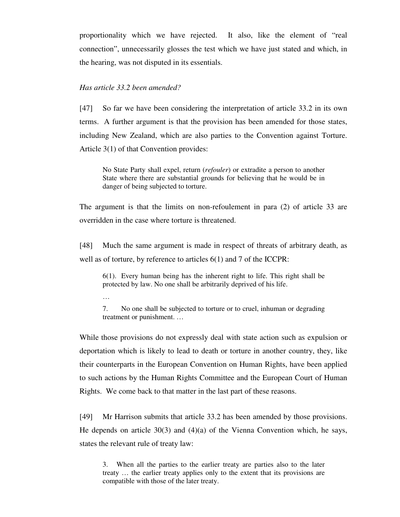proportionality which we have rejected. It also, like the element of "real connection", unnecessarily glosses the test which we have just stated and which, in the hearing, was not disputed in its essentials.

## *Has article 33.2 been amended?*

[47] So far we have been considering the interpretation of article 33.2 in its own terms. A further argument is that the provision has been amended for those states, including New Zealand, which are also parties to the Convention against Torture. Article 3(1) of that Convention provides:

No State Party shall expel, return (*refouler*) or extradite a person to another State where there are substantial grounds for believing that he would be in danger of being subjected to torture.

The argument is that the limits on non-refoulement in para (2) of article 33 are overridden in the case where torture is threatened.

[48] Much the same argument is made in respect of threats of arbitrary death, as well as of torture, by reference to articles 6(1) and 7 of the ICCPR:

6(1). Every human being has the inherent right to life. This right shall be protected by law. No one shall be arbitrarily deprived of his life.

…

7. No one shall be subjected to torture or to cruel, inhuman or degrading treatment or punishment. …

While those provisions do not expressly deal with state action such as expulsion or deportation which is likely to lead to death or torture in another country, they, like their counterparts in the European Convention on Human Rights, have been applied to such actions by the Human Rights Committee and the European Court of Human Rights. We come back to that matter in the last part of these reasons.

[49] Mr Harrison submits that article 33.2 has been amended by those provisions. He depends on article 30(3) and (4)(a) of the Vienna Convention which, he says, states the relevant rule of treaty law:

3. When all the parties to the earlier treaty are parties also to the later treaty … the earlier treaty applies only to the extent that its provisions are compatible with those of the later treaty.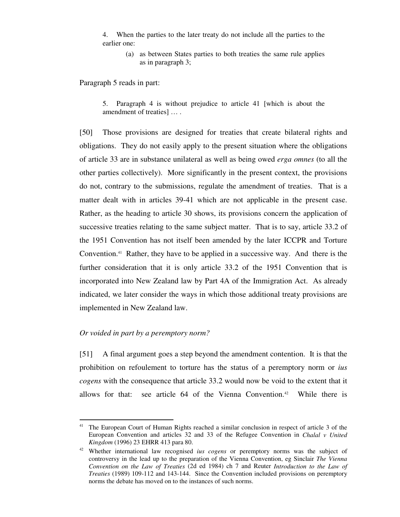4. When the parties to the later treaty do not include all the parties to the earlier one:

(a) as between States parties to both treaties the same rule applies as in paragraph 3;

Paragraph 5 reads in part:

5. Paragraph 4 is without prejudice to article 41 [which is about the amendment of treaties] … .

[50] Those provisions are designed for treaties that create bilateral rights and obligations. They do not easily apply to the present situation where the obligations of article 33 are in substance unilateral as well as being owed *erga omnes* (to all the other parties collectively). More significantly in the present context, the provisions do not, contrary to the submissions, regulate the amendment of treaties. That is a matter dealt with in articles 39-41 which are not applicable in the present case. Rather, as the heading to article 30 shows, its provisions concern the application of successive treaties relating to the same subject matter. That is to say, article 33.2 of the 1951 Convention has not itself been amended by the later ICCPR and Torture Convention.<sup>41</sup> Rather, they have to be applied in a successive way. And there is the further consideration that it is only article 33.2 of the 1951 Convention that is incorporated into New Zealand law by Part 4A of the Immigration Act. As already indicated, we later consider the ways in which those additional treaty provisions are implemented in New Zealand law.

## *Or voided in part by a peremptory norm?*

<u>.</u>

[51] A final argument goes a step beyond the amendment contention. It is that the prohibition on refoulement to torture has the status of a peremptory norm or *ius cogens* with the consequence that article 33.2 would now be void to the extent that it allows for that: see article 64 of the Vienna Convention. 42 While there is

<sup>&</sup>lt;sup>41</sup> The European Court of Human Rights reached a similar conclusion in respect of article 3 of the European Convention and articles 32 and 33 of the Refugee Convention in *Chalal v United Kingdom* (1996) 23 EHRR 413 para 80.

<sup>42</sup> Whether international law recognised *ius cogens* or peremptory norms was the subject of controversy in the lead up to the preparation of the Vienna Convention, eg Sinclair *The Vienna Convention on the Law of Treaties* (2d ed 1984) ch 7 and Reuter *Introduction to the Law of Treaties* (1989) 109-112 and 143-144. Since the Convention included provisions on peremptory norms the debate has moved on to the instances of such norms.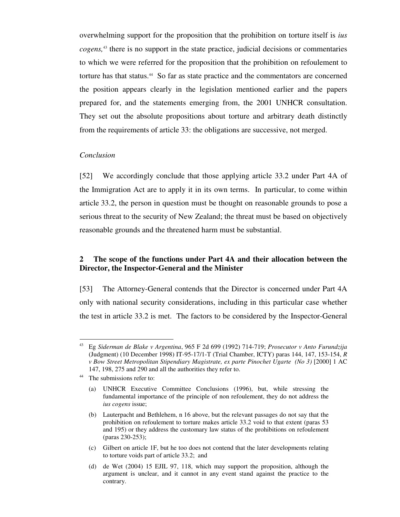overwhelming support for the proposition that the prohibition on torture itself is *ius cogens,* <sup>43</sup> there is no support in the state practice, judicial decisions or commentaries to which we were referred for the proposition that the prohibition on refoulement to torture has that status. 44 So far as state practice and the commentators are concerned the position appears clearly in the legislation mentioned earlier and the papers prepared for, and the statements emerging from, the 2001 UNHCR consultation. They set out the absolute propositions about torture and arbitrary death distinctly from the requirements of article 33: the obligations are successive, not merged.

### *Conclusion*

[52] We accordingly conclude that those applying article 33.2 under Part 4A of the Immigration Act are to apply it in its own terms. In particular, to come within article 33.2, the person in question must be thought on reasonable grounds to pose a serious threat to the security of New Zealand; the threat must be based on objectively reasonable grounds and the threatened harm must be substantial.

# **2 The scope of the functions under Part 4A and their allocation between the Director, the Inspector-General and the Minister**

[53] The Attorney-General contends that the Director is concerned under Part 4A only with national security considerations, including in this particular case whether the test in article 33.2 is met. The factors to be considered by the Inspector-General

<u>.</u>

<sup>43</sup> Eg *Siderman de Blake v Argentina*, 965 F 2d 699 (1992) 714-719; *Prosecutor v Anto Furundzija* (Judgment) (10 December 1998) IT-95-17/1-T (Trial Chamber, ICTY) paras 144, 147, 153-154, *R v Bow Street Metropolitan Stipendiary Magistrate, ex parte Pinochet Ugarte (No 3)* [2000] 1 AC 147, 198, 275 and 290 and all the authorities they refer to.

<sup>&</sup>lt;sup>44</sup> The submissions refer to:

<sup>(</sup>a) UNHCR Executive Committee Conclusions (1996), but, while stressing the fundamental importance of the principle of non refoulement, they do not address the *ius cogens* issue;

<sup>(</sup>b) Lauterpacht and Bethlehem, n 16 above, but the relevant passages do not say that the prohibition on refoulement to torture makes article 33.2 void to that extent (paras 53 and 195) or they address the customary law status of the prohibitions on refoulement (paras 230-253);

<sup>(</sup>c) Gilbert on article 1F, but he too does not contend that the later developments relating to torture voids part of article 33.2; and

<sup>(</sup>d) de Wet (2004) 15 EJIL 97, 118, which may support the proposition, although the argument is unclear, and it cannot in any event stand against the practice to the contrary.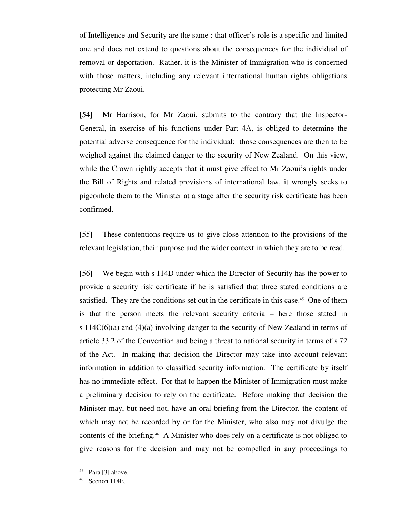of Intelligence and Security are the same : that officer's role is a specific and limited one and does not extend to questions about the consequences for the individual of removal or deportation. Rather, it is the Minister of Immigration who is concerned with those matters, including any relevant international human rights obligations protecting Mr Zaoui.

[54] Mr Harrison, for Mr Zaoui, submits to the contrary that the Inspector-General, in exercise of his functions under Part 4A, is obliged to determine the potential adverse consequence for the individual; those consequences are then to be weighed against the claimed danger to the security of New Zealand. On this view, while the Crown rightly accepts that it must give effect to Mr Zaoui's rights under the Bill of Rights and related provisions of international law, it wrongly seeks to pigeonhole them to the Minister at a stage after the security risk certificate has been confirmed.

[55] These contentions require us to give close attention to the provisions of the relevant legislation, their purpose and the wider context in which they are to be read.

[56] We begin with s 114D under which the Director of Security has the power to provide a security risk certificate if he is satisfied that three stated conditions are satisfied. They are the conditions set out in the certificate in this case.<sup>45</sup> One of them is that the person meets the relevant security criteria – here those stated in s  $114C(6)(a)$  and  $(4)(a)$  involving danger to the security of New Zealand in terms of article 33.2 of the Convention and being a threat to national security in terms of s 72 of the Act. In making that decision the Director may take into account relevant information in addition to classified security information. The certificate by itself has no immediate effect. For that to happen the Minister of Immigration must make a preliminary decision to rely on the certificate. Before making that decision the Minister may, but need not, have an oral briefing from the Director, the content of which may not be recorded by or for the Minister, who also may not divulge the contents of the briefing. 46 A Minister who does rely on a certificate is not obliged to give reasons for the decision and may not be compelled in any proceedings to

 $45$  Para [3] above.

 $46$  Section 114E.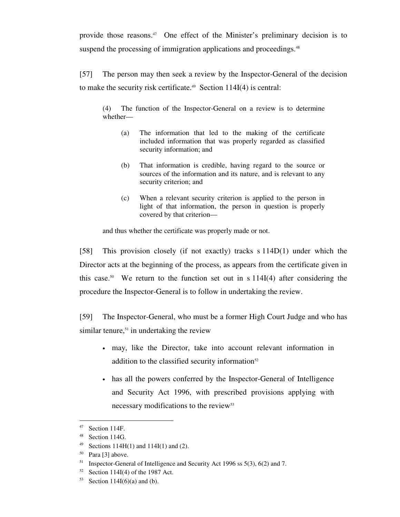provide those reasons. 47 One effect of the Minister's preliminary decision is to suspend the processing of immigration applications and proceedings.<sup>48</sup>

[57] The person may then seek a review by the Inspector-General of the decision to make the security risk certificate. 49 Section 114I(4) is central:

(4) The function of the Inspector-General on a review is to determine whether—

- (a) The information that led to the making of the certificate included information that was properly regarded as classified security information; and
- (b) That information is credible, having regard to the source or sources of the information and its nature, and is relevant to any security criterion; and
- (c) When a relevant security criterion is applied to the person in light of that information, the person in question is properly covered by that criterion—

and thus whether the certificate was properly made or not.

[58] This provision closely (if not exactly) tracks s 114D(1) under which the Director acts at the beginning of the process, as appears from the certificate given in this case.<sup>50</sup> We return to the function set out in s  $114I(4)$  after considering the procedure the Inspector-General is to follow in undertaking the review.

[59] The Inspector-General, who must be a former High Court Judge and who has similar tenure, <sup>51</sup> in undertaking the review

- may, like the Director, take into account relevant information in addition to the classified security information $52$
- has all the powers conferred by the Inspector-General of Intelligence and Security Act 1996, with prescribed provisions applying with necessary modifications to the review<sup>53</sup>

<sup>47</sup> Section 114F.

<sup>48</sup> Section 114G.

<sup>&</sup>lt;sup>49</sup> Sections 114H(1) and 114I(1) and (2).

 $50$  Para [3] above.

<sup>&</sup>lt;sup>51</sup> Inspector-General of Intelligence and Security Act 1996 ss  $5(3)$ ,  $6(2)$  and 7.

 $52$  Section 114I(4) of the 1987 Act.

<sup>53</sup> Section 114I(6)(a) and (b).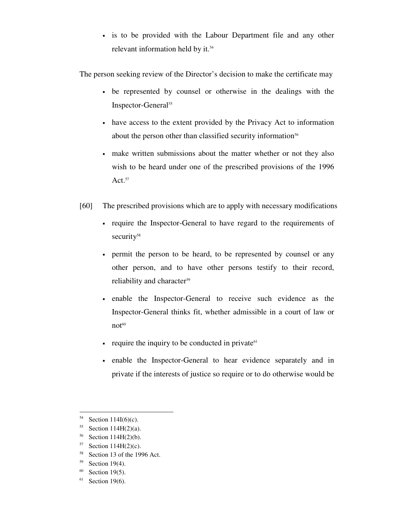• is to be provided with the Labour Department file and any other relevant information held by it. 54

The person seeking review of the Director's decision to make the certificate may

- be represented by counsel or otherwise in the dealings with the Inspector-General 55
- have access to the extent provided by the Privacy Act to information about the person other than classified security information<sup>56</sup>
- make written submissions about the matter whether or not they also wish to be heard under one of the prescribed provisions of the 1996 Act. $57$
- [60] The prescribed provisions which are to apply with necessary modifications
	- require the Inspector-General to have regard to the requirements of security<sup>58</sup>
	- permit the person to be heard, to be represented by counsel or any other person, and to have other persons testify to their record, reliability and character 59
	- enable the Inspector-General to receive such evidence as the Inspector-General thinks fit, whether admissible in a court of law or not 60
	- require the inquiry to be conducted in private $61$
	- enable the Inspector-General to hear evidence separately and in private if the interests of justice so require or to do otherwise would be

<sup>-</sup>54 Section 114I(6)(c).

<sup>55</sup> Section 114H(2)(a).

<sup>56</sup> Section 114H(2)(b).

 $57$  Section 114H(2)(c).

<sup>58</sup> Section 13 of the 1996 Act.

 $59$  Section 19(4).

 $60$  Section 19(5).

 $61$  Section 19(6).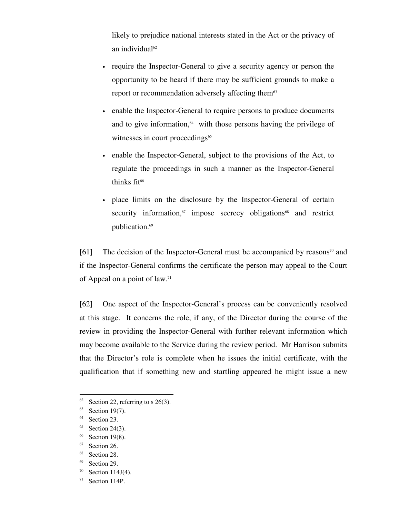likely to prejudice national interests stated in the Act or the privacy of an individual 62

- require the Inspector-General to give a security agency or person the opportunity to be heard if there may be sufficient grounds to make a report or recommendation adversely affecting them<sup>63</sup>
- enable the Inspector-General to require persons to produce documents and to give information,<sup>64</sup> with those persons having the privilege of witnesses in court proceedings<sup>65</sup>
- enable the Inspector-General, subject to the provisions of the Act, to regulate the proceedings in such a manner as the Inspector-General thinks fit 66
- place limits on the disclosure by the Inspector-General of certain security information,<sup>67</sup> impose secrecy obligations<sup>68</sup> and restrict publication.<sup>69</sup>

[61] The decision of the Inspector-General must be accompanied by reasons<sup>70</sup> and if the Inspector-General confirms the certificate the person may appeal to the Court of Appeal on a point of law. 71

[62] One aspect of the Inspector-General's process can be conveniently resolved at this stage. It concerns the role, if any, of the Director during the course of the review in providing the Inspector-General with further relevant information which may become available to the Service during the review period. Mr Harrison submits that the Director's role is complete when he issues the initial certificate, with the qualification that if something new and startling appeared he might issue a new

<sup>62</sup> Section 22, referring to s  $26(3)$ .

 $63$  Section 19(7).

<sup>&</sup>lt;sup>64</sup> Section 23.

 $65$  Section 24(3).

 $66$  Section 19(8).

<sup>&</sup>lt;sup>67</sup> Section 26.

<sup>&</sup>lt;sup>68</sup> Section 28.

<sup>&</sup>lt;sup>69</sup> Section 29.

 $70$  Section 114J(4).

 $71$  Section 114P.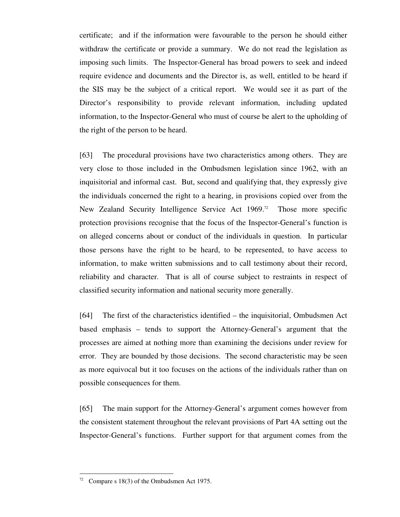certificate; and if the information were favourable to the person he should either withdraw the certificate or provide a summary. We do not read the legislation as imposing such limits. The Inspector-General has broad powers to seek and indeed require evidence and documents and the Director is, as well, entitled to be heard if the SIS may be the subject of a critical report. We would see it as part of the Director's responsibility to provide relevant information, including updated information, to the Inspector-General who must of course be alert to the upholding of the right of the person to be heard.

[63] The procedural provisions have two characteristics among others. They are very close to those included in the Ombudsmen legislation since 1962, with an inquisitorial and informal cast. But, second and qualifying that, they expressly give the individuals concerned the right to a hearing, in provisions copied over from the New Zealand Security Intelligence Service Act 1969.<sup>72</sup> Those more specific protection provisions recognise that the focus of the Inspector-General's function is on alleged concerns about or conduct of the individuals in question. In particular those persons have the right to be heard, to be represented, to have access to information, to make written submissions and to call testimony about their record, reliability and character. That is all of course subject to restraints in respect of classified security information and national security more generally.

[64] The first of the characteristics identified – the inquisitorial, Ombudsmen Act based emphasis – tends to support the Attorney-General's argument that the processes are aimed at nothing more than examining the decisions under review for error. They are bounded by those decisions. The second characteristic may be seen as more equivocal but it too focuses on the actions of the individuals rather than on possible consequences for them.

[65] The main support for the Attorney-General's argument comes however from the consistent statement throughout the relevant provisions of Part 4A setting out the Inspector-General's functions. Further support for that argument comes from the

Compare s 18(3) of the Ombudsmen Act 1975.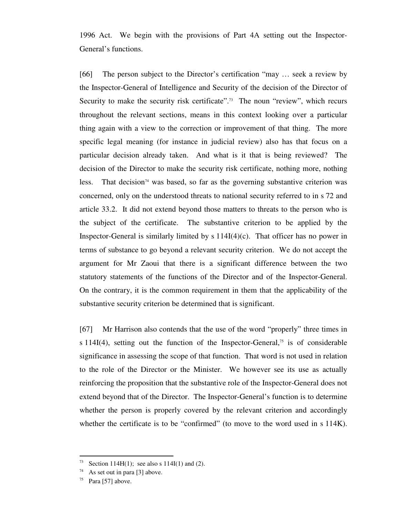1996 Act. We begin with the provisions of Part 4A setting out the Inspector-General's functions.

[66] The person subject to the Director's certification "may ... seek a review by the Inspector-General of Intelligence and Security of the decision of the Director of Security to make the security risk certificate".<sup>73</sup> The noun "review", which recurs throughout the relevant sections, means in this context looking over a particular thing again with a view to the correction or improvement of that thing. The more specific legal meaning (for instance in judicial review) also has that focus on a particular decision already taken. And what is it that is being reviewed? The decision of the Director to make the security risk certificate, nothing more, nothing less. That decision<sup>74</sup> was based, so far as the governing substantive criterion was concerned, only on the understood threats to national security referred to in s 72 and article 33.2. It did not extend beyond those matters to threats to the person who is the subject of the certificate. The substantive criterion to be applied by the Inspector-General is similarly limited by  $s 114I(4)(c)$ . That officer has no power in terms of substance to go beyond a relevant security criterion. We do not accept the argument for Mr Zaoui that there is a significant difference between the two statutory statements of the functions of the Director and of the Inspector-General. On the contrary, it is the common requirement in them that the applicability of the substantive security criterion be determined that is significant.

[67] Mr Harrison also contends that the use of the word "properly" three times in s 114I(4), setting out the function of the Inspector-General,<sup>75</sup> is of considerable significance in assessing the scope of that function. That word is not used in relation to the role of the Director or the Minister. We however see its use as actually reinforcing the proposition that the substantive role of the Inspector-General does not extend beyond that of the Director. The Inspector-General's function is to determine whether the person is properly covered by the relevant criterion and accordingly whether the certificate is to be "confirmed" (to move to the word used in s 114K).

<sup>&</sup>lt;sup>73</sup> Section 114H(1); see also s 114I(1) and (2).

 $74$  As set out in para [3] above.

 $75$  Para [57] above.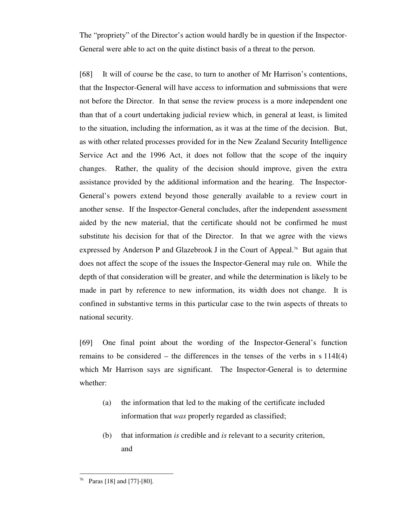The "propriety" of the Director's action would hardly be in question if the Inspector-General were able to act on the quite distinct basis of a threat to the person.

[68] It will of course be the case, to turn to another of Mr Harrison's contentions, that the Inspector-General will have access to information and submissions that were not before the Director. In that sense the review process is a more independent one than that of a court undertaking judicial review which, in general at least, is limited to the situation, including the information, as it was at the time of the decision. But, as with other related processes provided for in the New Zealand Security Intelligence Service Act and the 1996 Act, it does not follow that the scope of the inquiry changes. Rather, the quality of the decision should improve, given the extra assistance provided by the additional information and the hearing. The Inspector-General's powers extend beyond those generally available to a review court in another sense. If the Inspector-General concludes, after the independent assessment aided by the new material, that the certificate should not be confirmed he must substitute his decision for that of the Director. In that we agree with the views expressed by Anderson P and Glazebrook J in the Court of Appeal.<sup>76</sup> But again that does not affect the scope of the issues the Inspector-General may rule on. While the depth of that consideration will be greater, and while the determination is likely to be made in part by reference to new information, its width does not change. It is confined in substantive terms in this particular case to the twin aspects of threats to national security.

[69] One final point about the wording of the Inspector-General's function remains to be considered – the differences in the tenses of the verbs in s 114I(4) which Mr Harrison says are significant. The Inspector-General is to determine whether:

- (a) the information that led to the making of the certificate included information that *was* properly regarded as classified;
- (b) that information *is* credible and *is* relevant to a security criterion, and

Paras [18] and [77]-[80].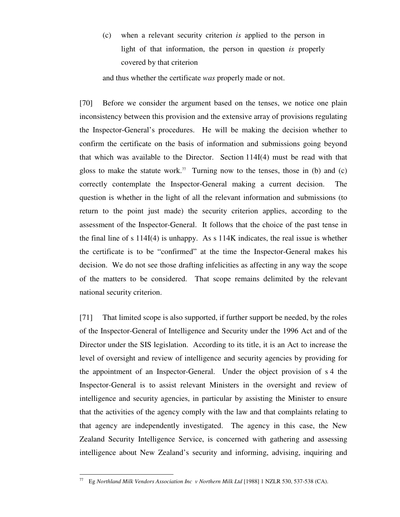(c) when a relevant security criterion *is* applied to the person in light of that information, the person in question *is* properly covered by that criterion

and thus whether the certificate *was* properly made or not.

[70] Before we consider the argument based on the tenses, we notice one plain inconsistency between this provision and the extensive array of provisions regulating the Inspector-General's procedures. He will be making the decision whether to confirm the certificate on the basis of information and submissions going beyond that which was available to the Director. Section 114I(4) must be read with that gloss to make the statute work.<sup>77</sup> Turning now to the tenses, those in (b) and (c) correctly contemplate the Inspector-General making a current decision. The question is whether in the light of all the relevant information and submissions (to return to the point just made) the security criterion applies, according to the assessment of the Inspector-General. It follows that the choice of the past tense in the final line of s 114I(4) is unhappy. As s 114K indicates, the real issue is whether the certificate is to be "confirmed" at the time the Inspector-General makes his decision. We do not see those drafting infelicities as affecting in any way the scope of the matters to be considered. That scope remains delimited by the relevant national security criterion.

[71] That limited scope is also supported, if further support be needed, by the roles of the Inspector-General of Intelligence and Security under the 1996 Act and of the Director under the SIS legislation. According to its title, it is an Act to increase the level of oversight and review of intelligence and security agencies by providing for the appointment of an Inspector-General. Under the object provision of s 4 the Inspector-General is to assist relevant Ministers in the oversight and review of intelligence and security agencies, in particular by assisting the Minister to ensure that the activities of the agency comply with the law and that complaints relating to that agency are independently investigated. The agency in this case, the New Zealand Security Intelligence Service, is concerned with gathering and assessing intelligence about New Zealand's security and informing, advising, inquiring and

<sup>-</sup><sup>77</sup> Eg *Northland Milk Vendors Association Inc v Northern Milk Ltd* [1988] 1 NZLR 530, 537-538 (CA).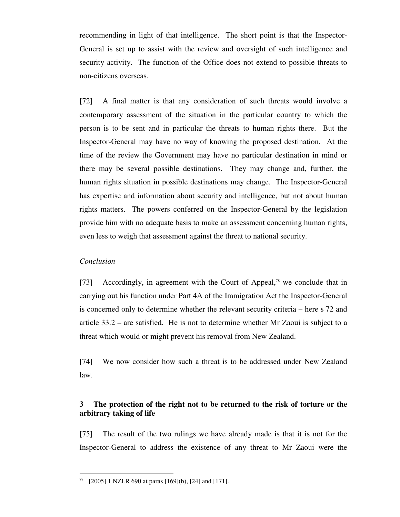recommending in light of that intelligence. The short point is that the Inspector-General is set up to assist with the review and oversight of such intelligence and security activity. The function of the Office does not extend to possible threats to non-citizens overseas.

[72] A final matter is that any consideration of such threats would involve a contemporary assessment of the situation in the particular country to which the person is to be sent and in particular the threats to human rights there. But the Inspector-General may have no way of knowing the proposed destination. At the time of the review the Government may have no particular destination in mind or there may be several possible destinations. They may change and, further, the human rights situation in possible destinations may change. The Inspector-General has expertise and information about security and intelligence, but not about human rights matters. The powers conferred on the Inspector-General by the legislation provide him with no adequate basis to make an assessment concerning human rights, even less to weigh that assessment against the threat to national security.

## *Conclusion*

-

[73] Accordingly, in agreement with the Court of Appeal,<sup>78</sup> we conclude that in carrying out his function under Part 4A of the Immigration Act the Inspector-General is concerned only to determine whether the relevant security criteria – here s 72 and article 33.2 – are satisfied. He is not to determine whether Mr Zaoui is subject to a threat which would or might prevent his removal from New Zealand.

[74] We now consider how such a threat is to be addressed under New Zealand law.

# **3 The protection of the right not to be returned to the risk of torture or the arbitrary taking of life**

[75] The result of the two rulings we have already made is that it is not for the Inspector-General to address the existence of any threat to Mr Zaoui were the

 $78$  [2005] 1 NZLR 690 at paras [169](b), [24] and [171].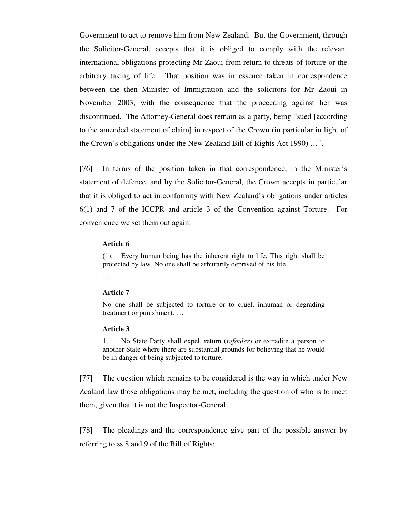Government to act to remove him from New Zealand. But the Government, through the Solicitor-General, accepts that it is obliged to comply with the relevant international obligations protecting Mr Zaoui from return to threats of torture or the arbitrary taking of life. That position was in essence taken in correspondence between the then Minister of Immigration and the solicitors for Mr Zaoui in November 2003, with the consequence that the proceeding against her was discontinued. The Attorney-General does remain as a party, being "sued [according to the amended statement of claim] in respect of the Crown (in particular in light of the Crown's obligations under the New Zealand Bill of Rights Act 1990) …".

[76] In terms of the position taken in that correspondence, in the Minister's statement of defence, and by the Solicitor-General, the Crown accepts in particular that it is obliged to act in conformity with New Zealand's obligations under articles 6(1) and 7 of the ICCPR and article 3 of the Convention against Torture. For convenience we set them out again:

### **Article 6**

(1). Every human being has the inherent right to life. This right shall be protected by law. No one shall be arbitrarily deprived of his life.

…

### **Article 7**

No one shall be subjected to torture or to cruel, inhuman or degrading treatment or punishment. …

#### **Article 3**

1. No State Party shall expel, return (*refouler*) or extradite a person to another State where there are substantial grounds for believing that he would be in danger of being subjected to torture.

[77] The question which remains to be considered is the way in which under New Zealand law those obligations may be met, including the question of who is to meet them, given that it is not the Inspector-General.

[78] The pleadings and the correspondence give part of the possible answer by referring to ss 8 and 9 of the Bill of Rights: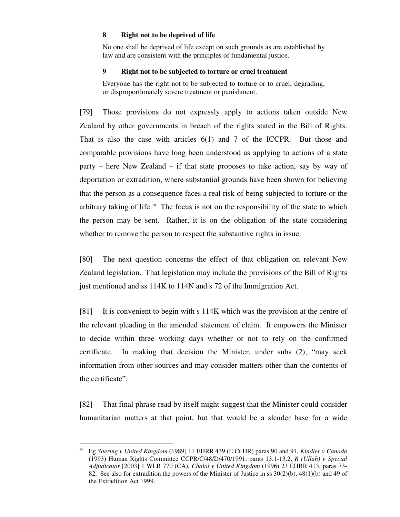## **8 Right not to be deprived of life**

No one shall be deprived of life except on such grounds as are established by law and are consistent with the principles of fundamental justice.

## **9 Right not to be subjected to torture or cruel treatment**

Everyone has the right not to be subjected to torture or to cruel, degrading, or disproportionately severe treatment or punishment.

[79] Those provisions do not expressly apply to actions taken outside New Zealand by other governments in breach of the rights stated in the Bill of Rights. That is also the case with articles 6(1) and 7 of the ICCPR. But those and comparable provisions have long been understood as applying to actions of a state party – here New Zealand – if that state proposes to take action, say by way of deportation or extradition, where substantial grounds have been shown for believing that the person as a consequence faces a real risk of being subjected to torture or the arbitrary taking of life. 79 The focus is not on the responsibility of the state to which the person may be sent. Rather, it is on the obligation of the state considering whether to remove the person to respect the substantive rights in issue.

[80] The next question concerns the effect of that obligation on relevant New Zealand legislation. That legislation may include the provisions of the Bill of Rights just mentioned and ss 114K to 114N and s 72 of the Immigration Act.

[81] It is convenient to begin with s 114K which was the provision at the centre of the relevant pleading in the amended statement of claim. It empowers the Minister to decide within three working days whether or not to rely on the confirmed certificate. In making that decision the Minister, under subs (2), "may seek information from other sources and may consider matters other than the contents of the certificate".

[82] That final phrase read by itself might suggest that the Minister could consider humanitarian matters at that point, but that would be a slender base for a wide

<sup>79</sup> Eg *Soering v United Kingdom* (1989) 11 EHRR 439 (E Ct HR) paras 90 and 91, *Kindler v Canada* (1993) Human Rights Committee CCPR/C/48/D/470/1991, paras 13.1-13.2, *R (Ullah) v Special Adjudicator* [2003] 1 WLR 770 (CA), *Chalal v United Kingdom* (1996) 23 EHRR 413, paras 73- 82. See also for extradition the powers of the Minister of Justice in ss 30(2)(b), 48(1)(b) and 49 of the Extradition Act 1999.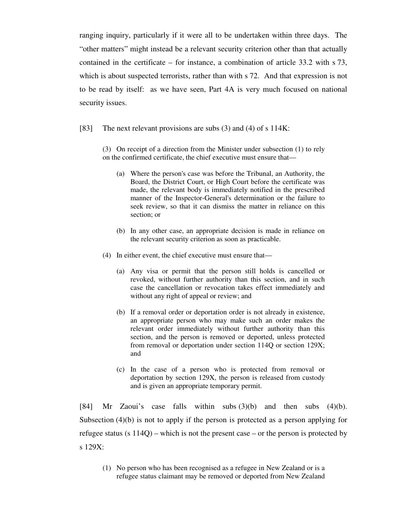ranging inquiry, particularly if it were all to be undertaken within three days. The "other matters" might instead be a relevant security criterion other than that actually contained in the certificate – for instance, a combination of article 33.2 with s 73, which is about suspected terrorists, rather than with s 72. And that expression is not to be read by itself: as we have seen, Part 4A is very much focused on national security issues.

[83] The next relevant provisions are subs (3) and (4) of s 114K:

(3) On receipt of a direction from the Minister under subsection (1) to rely on the confirmed certificate, the chief executive must ensure that—

- (a) Where the person's case was before the Tribunal, an Authority, the Board, the District Court, or High Court before the certificate was made, the relevant body is immediately notified in the prescribed manner of the Inspector-General's determination or the failure to seek review, so that it can dismiss the matter in reliance on this section; or
- (b) In any other case, an appropriate decision is made in reliance on the relevant security criterion as soon as practicable.
- (4) In either event, the chief executive must ensure that—
	- (a) Any visa or permit that the person still holds is cancelled or revoked, without further authority than this section, and in such case the cancellation or revocation takes effect immediately and without any right of appeal or review; and
	- (b) If a removal order or deportation order is not already in existence, an appropriate person who may make such an order makes the relevant order immediately without further authority than this section, and the person is removed or deported, unless protected from removal or deportation under section 114Q or section 129X; and
	- (c) In the case of a person who is protected from removal or deportation by section 129X, the person is released from custody and is given an appropriate temporary permit.

[84] Mr Zaoui's case falls within subs (3)(b) and then subs (4)(b). Subsection (4)(b) is not to apply if the person is protected as a person applying for refugee status (s 114Q) – which is not the present case – or the person is protected by s 129X:

(1) No person who has been recognised as a refugee in New Zealand or is a refugee status claimant may be removed or deported from New Zealand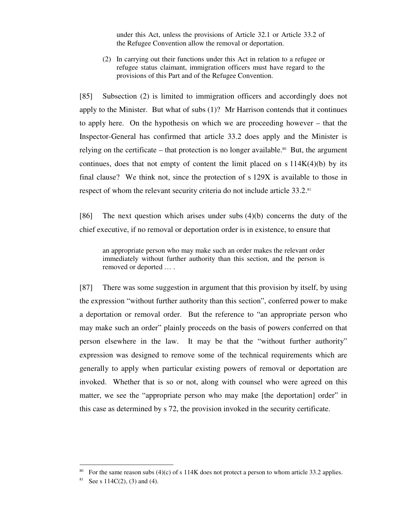under this Act, unless the provisions of Article 32.1 or Article 33.2 of the Refugee Convention allow the removal or deportation.

(2) In carrying out their functions under this Act in relation to a refugee or refugee status claimant, immigration officers must have regard to the provisions of this Part and of the Refugee Convention.

[85] Subsection (2) is limited to immigration officers and accordingly does not apply to the Minister. But what of subs (1)? Mr Harrison contends that it continues to apply here. On the hypothesis on which we are proceeding however – that the Inspector-General has confirmed that article 33.2 does apply and the Minister is relying on the certificate – that protection is no longer available.<sup>80</sup> But, the argument continues, does that not empty of content the limit placed on  $s\ 114K(4)(b)$  by its final clause? We think not, since the protection of s 129X is available to those in respect of whom the relevant security criteria do not include article 33.2. 81

[86] The next question which arises under subs (4)(b) concerns the duty of the chief executive, if no removal or deportation order is in existence, to ensure that

an appropriate person who may make such an order makes the relevant order immediately without further authority than this section, and the person is removed or deported … .

[87] There was some suggestion in argument that this provision by itself, by using the expression "without further authority than this section", conferred power to make a deportation or removal order. But the reference to "an appropriate person who may make such an order" plainly proceeds on the basis of powers conferred on that person elsewhere in the law. It may be that the "without further authority" expression was designed to remove some of the technical requirements which are generally to apply when particular existing powers of removal or deportation are invoked. Whether that is so or not, along with counsel who were agreed on this matter, we see the "appropriate person who may make [the deportation] order" in this case as determined by s 72, the provision invoked in the security certificate.

<u>.</u>

<sup>&</sup>lt;sup>80</sup> For the same reason subs (4)(c) of s 114K does not protect a person to whom article 33.2 applies.

<sup>&</sup>lt;sup>81</sup> See s 114C(2), (3) and (4).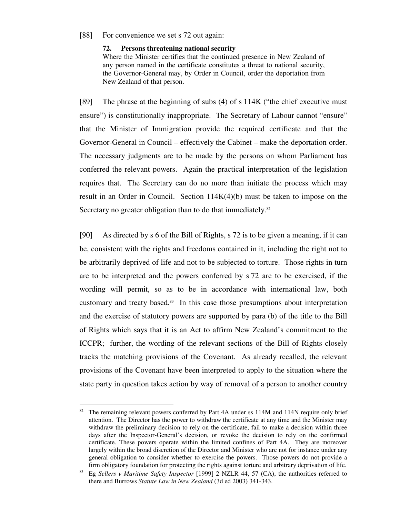### [88] For convenience we set s 72 out again:

#### **72. Persons threatening national security**

Where the Minister certifies that the continued presence in New Zealand of any person named in the certificate constitutes a threat to national security, the Governor-General may, by Order in Council, order the deportation from New Zealand of that person.

[89] The phrase at the beginning of subs (4) of s 114K ("the chief executive must ensure") is constitutionally inappropriate. The Secretary of Labour cannot "ensure" that the Minister of Immigration provide the required certificate and that the Governor-General in Council – effectively the Cabinet – make the deportation order. The necessary judgments are to be made by the persons on whom Parliament has conferred the relevant powers. Again the practical interpretation of the legislation requires that. The Secretary can do no more than initiate the process which may result in an Order in Council. Section  $114K(4)(b)$  must be taken to impose on the Secretary no greater obligation than to do that immediately.<sup>82</sup>

[90] As directed by s 6 of the Bill of Rights, s 72 is to be given a meaning, if it can be, consistent with the rights and freedoms contained in it, including the right not to be arbitrarily deprived of life and not to be subjected to torture. Those rights in turn are to be interpreted and the powers conferred by s 72 are to be exercised, if the wording will permit, so as to be in accordance with international law, both customary and treaty based. <sup>83</sup> In this case those presumptions about interpretation and the exercise of statutory powers are supported by para (b) of the title to the Bill of Rights which says that it is an Act to affirm New Zealand's commitment to the ICCPR; further, the wording of the relevant sections of the Bill of Rights closely tracks the matching provisions of the Covenant. As already recalled, the relevant provisions of the Covenant have been interpreted to apply to the situation where the state party in question takes action by way of removal of a person to another country

<u>.</u>

The remaining relevant powers conferred by Part 4A under ss 114M and 114N require only brief attention. The Director has the power to withdraw the certificate at any time and the Minister may withdraw the preliminary decision to rely on the certificate, fail to make a decision within three days after the Inspector-General's decision, or revoke the decision to rely on the confirmed certificate. These powers operate within the limited confines of Part 4A. They are moreover largely within the broad discretion of the Director and Minister who are not for instance under any general obligation to consider whether to exercise the powers. Those powers do not provide a firm obligatory foundation for protecting the rights against torture and arbitrary deprivation of life.

<sup>83</sup> Eg *Sellers v Maritime Safety Inspector* [1999] 2 NZLR 44, 57 (CA), the authorities referred to there and Burrows *Statute Law in New Zealand* (3d ed 2003) 341-343.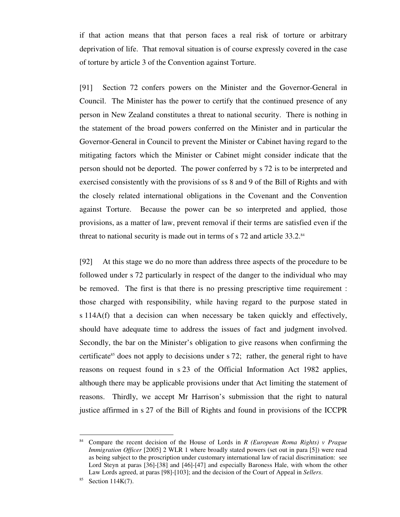if that action means that that person faces a real risk of torture or arbitrary deprivation of life. That removal situation is of course expressly covered in the case of torture by article 3 of the Convention against Torture.

[91] Section 72 confers powers on the Minister and the Governor-General in Council. The Minister has the power to certify that the continued presence of any person in New Zealand constitutes a threat to national security. There is nothing in the statement of the broad powers conferred on the Minister and in particular the Governor-General in Council to prevent the Minister or Cabinet having regard to the mitigating factors which the Minister or Cabinet might consider indicate that the person should not be deported. The power conferred by s 72 is to be interpreted and exercised consistently with the provisions of ss 8 and 9 of the Bill of Rights and with the closely related international obligations in the Covenant and the Convention against Torture. Because the power can be so interpreted and applied, those provisions, as a matter of law, prevent removal if their terms are satisfied even if the threat to national security is made out in terms of s 72 and article 33.2.<sup>84</sup>

[92] At this stage we do no more than address three aspects of the procedure to be followed under s 72 particularly in respect of the danger to the individual who may be removed. The first is that there is no pressing prescriptive time requirement : those charged with responsibility, while having regard to the purpose stated in s 114A(f) that a decision can when necessary be taken quickly and effectively, should have adequate time to address the issues of fact and judgment involved. Secondly, the bar on the Minister's obligation to give reasons when confirming the certificate <sup>85</sup> does not apply to decisions under s 72; rather, the general right to have reasons on request found in s 23 of the Official Information Act 1982 applies, although there may be applicable provisions under that Act limiting the statement of reasons. Thirdly, we accept Mr Harrison's submission that the right to natural justice affirmed in s 27 of the Bill of Rights and found in provisions of the ICCPR

<sup>84</sup> Compare the recent decision of the House of Lords in *R (European Roma Rights) v Prague Immigration Officer* [2005] 2 WLR 1 where broadly stated powers (set out in para [5]) were read as being subject to the proscription under customary international law of racial discrimination: see Lord Steyn at paras [36]-[38] and [46]-[47] and especially Baroness Hale, with whom the other Law Lords agreed, at paras [98]-[103]; and the decision of the Court of Appeal in *Sellers*.

 $85$  Section 114K(7).